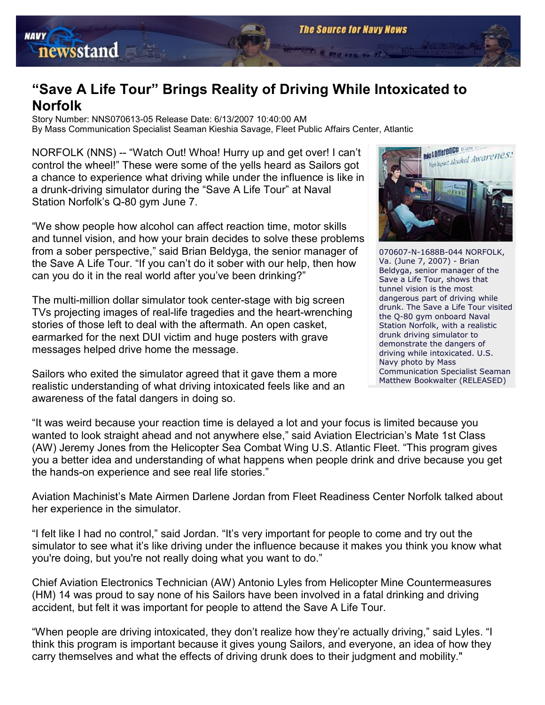

## "Save A Life Tour" Brings Reality of Driving While Intoxicated to Norfolk

Story Number: NNS070613-05 Release Date: 6/13/2007 10:40:00 AM By Mass Communication Specialist Seaman Kieshia Savage, Fleet Public Affairs Center, Atlantic

NORFOLK (NNS) -- "Watch Out! Whoa! Hurry up and get over! I can't control the wheel!" These were some of the yells heard as Sailors got a chance to experience what driving while under the influence is like in a drunk-driving simulator during the "Save A Life Tour" at Naval Station Norfolk's Q-80 gym June 7.

"We show people how alcohol can affect reaction time, motor skills and tunnel vision, and how your brain decides to solve these problems from a sober perspective," said Brian Beldyga, the senior manager of the Save A Life Tour. "If you can't do it sober with our help, then how can you do it in the real world after you've been drinking?"

The multi-million dollar simulator took center-stage with big screen TVs projecting images of real-life tragedies and the heart-wrenching stories of those left to deal with the aftermath. An open casket, earmarked for the next DUI victim and huge posters with grave messages helped drive home the message.

Sailors who exited the simulator agreed that it gave them a more realistic understanding of what driving intoxicated feels like and an awareness of the fatal dangers in doing so.



070607-N-1688B-044 NORFOLK, Va. (June 7, 2007) - Brian Beldyga, senior manager of the Save a Life Tour, shows that tunnel vision is the most dangerous part of driving while drunk. The Save a Life Tour visited the Q-80 gym onboard Naval Station Norfolk, with a realistic drunk driving simulator to demonstrate the dangers of driving while intoxicated. U.S. Navy photo by Mass Communication Specialist Seaman Matthew Bookwalter (RELEASED)

"It was weird because your reaction time is delayed a lot and your focus is limited because you wanted to look straight ahead and not anywhere else," said Aviation Electrician's Mate 1st Class (AW) Jeremy Jones from the Helicopter Sea Combat Wing U.S. Atlantic Fleet. "This program gives you a better idea and understanding of what happens when people drink and drive because you get the hands-on experience and see real life stories."

Aviation Machinist's Mate Airmen Darlene Jordan from Fleet Readiness Center Norfolk talked about her experience in the simulator.

"I felt like I had no control," said Jordan. "It's very important for people to come and try out the simulator to see what it's like driving under the influence because it makes you think you know what you're doing, but you're not really doing what you want to do."

Chief Aviation Electronics Technician (AW) Antonio Lyles from Helicopter Mine Countermeasures (HM) 14 was proud to say none of his Sailors have been involved in a fatal drinking and driving accident, but felt it was important for people to attend the Save A Life Tour.

"When people are driving intoxicated, they don't realize how they're actually driving," said Lyles. "I think this program is important because it gives young Sailors, and everyone, an idea of how they carry themselves and what the effects of driving drunk does to their judgment and mobility."